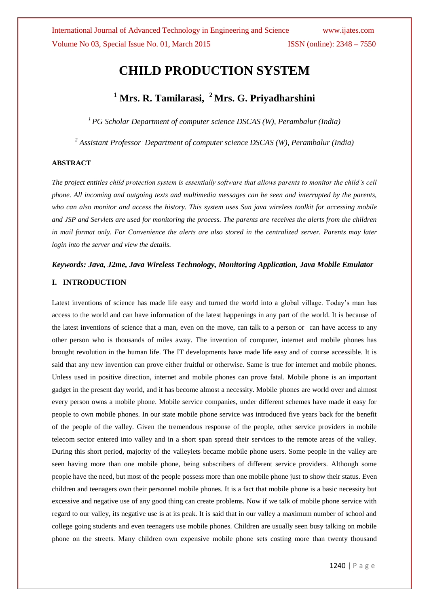# **CHILD PRODUCTION SYSTEM**

## **<sup>1</sup> Mrs. R. Tamilarasi, <sup>2</sup> Mrs. G. Priyadharshini**

*<sup>1</sup> PG Scholar Department of computer science DSCAS (W), Perambalur (India)*

*<sup>2</sup> Assistant Professor, Department of computer science DSCAS (W), Perambalur (India)*

#### **ABSTRACT**

*The project entitles child protection system is essentially software that allows parents to monitor the child's cell phone. All incoming and outgoing texts and multimedia messages can be seen and interrupted by the parents, who can also monitor and access the history. This system uses Sun java wireless toolkit for accessing mobile and JSP and Servlets are used for monitoring the process. The parents are receives the alerts from the children in mail format only. For Convenience the alerts are also stored in the centralized server. Parents may later login into the server and view the details.*

#### *Keywords: Java, J2me, Java Wireless Technology, Monitoring Application, Java Mobile Emulator*

#### **I. INTRODUCTION**

Latest inventions of science has made life easy and turned the world into a global village. Today's man has access to the world and can have information of the latest happenings in any part of the world. It is because of the latest inventions of science that a man, even on the move, can talk to a person or can have access to any other person who is thousands of miles away. The invention of computer, internet and mobile phones has brought revolution in the human life. The IT developments have made life easy and of course accessible. It is said that any new invention can prove either fruitful or otherwise. Same is true for internet and mobile phones. Unless used in positive direction, internet and mobile phones can prove fatal. Mobile phone is an important gadget in the present day world, and it has become almost a necessity. Mobile phones are world over and almost every person owns a mobile phone. Mobile service companies, under different schemes have made it easy for people to own mobile phones. In our state mobile phone service was introduced five years back for the benefit of the people of the valley. Given the tremendous response of the people, other service providers in mobile telecom sector entered into valley and in a short span spread their services to the remote areas of the valley. During this short period, majority of the valleyiets became mobile phone users. Some people in the valley are seen having more than one mobile phone, being subscribers of different service providers. Although some people have the need, but most of the people possess more than one mobile phone just to show their status. Even children and teenagers own their personnel mobile phones. It is a fact that mobile phone is a basic necessity but excessive and negative use of any good thing can create problems. Now if we talk of mobile phone service with regard to our valley, its negative use is at its peak. It is said that in our valley a maximum number of school and college going students and even teenagers use mobile phones. Children are usually seen busy talking on mobile phone on the streets. Many children own expensive mobile phone sets costing more than twenty thousand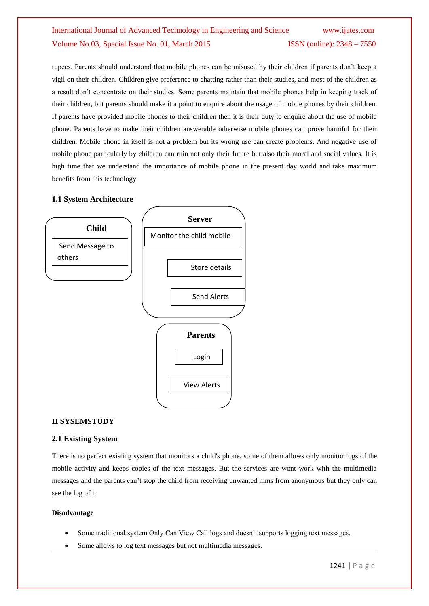rupees. Parents should understand that mobile phones can be misused by their children if parents don't keep a vigil on their children. Children give preference to chatting rather than their studies, and most of the children as a result don"t concentrate on their studies. Some parents maintain that mobile phones help in keeping track of their children, but parents should make it a point to enquire about the usage of mobile phones by their children. If parents have provided mobile phones to their children then it is their duty to enquire about the use of mobile phone. Parents have to make their children answerable otherwise mobile phones can prove harmful for their children. Mobile phone in itself is not a problem but its wrong use can create problems. And negative use of mobile phone particularly by children can ruin not only their future but also their moral and social values. It is high time that we understand the importance of mobile phone in the present day world and take maximum benefits from this technology

## **1.1 System Architecture**



## **II SYSEMSTUDY**

#### **2.1 Existing System**

There is no perfect existing system that monitors a child's phone, some of them allows only monitor logs of the mobile activity and keeps copies of the text messages. But the services are wont work with the multimedia messages and the parents can"t stop the child from receiving unwanted mms from anonymous but they only can see the log of it

#### **Disadvantage**

- Some traditional system Only Can View Call logs and doesn"t supports logging text messages.
- Some allows to log text messages but not multimedia messages.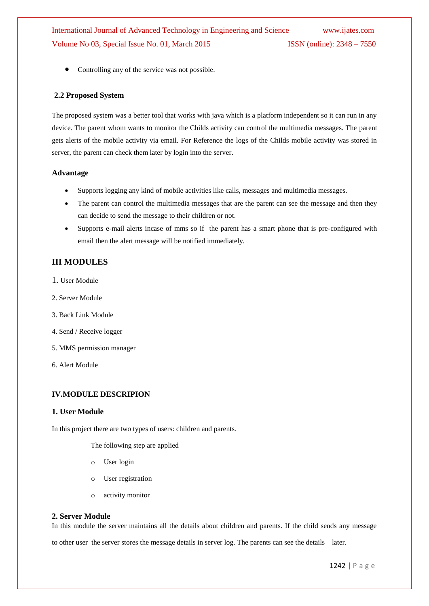• Controlling any of the service was not possible.

### **2.2 Proposed System**

The proposed system was a better tool that works with java which is a platform independent so it can run in any device. The parent whom wants to monitor the Childs activity can control the multimedia messages. The parent gets alerts of the mobile activity via email. For Reference the logs of the Childs mobile activity was stored in server, the parent can check them later by login into the server.

## **Advantage**

- Supports logging any kind of mobile activities like calls, messages and multimedia messages.
- The parent can control the multimedia messages that are the parent can see the message and then they can decide to send the message to their children or not.
- Supports e-mail alerts incase of mms so if the parent has a smart phone that is pre-configured with email then the alert message will be notified immediately.

## **III MODULES**

- 1. User Module
- 2. Server Module
- 3. Back Link Module
- 4. Send / Receive logger
- 5. MMS permission manager
- 6. Alert Module

#### **IV.MODULE DESCRIPION**

#### **1. User Module**

In this project there are two types of users: children and parents.

The following step are applied

- o User login
- o User registration
- o activity monitor

#### **2. Server Module**

In this module the server maintains all the details about children and parents. If the child sends any message

to other user the server stores the message details in server log. The parents can see the details later.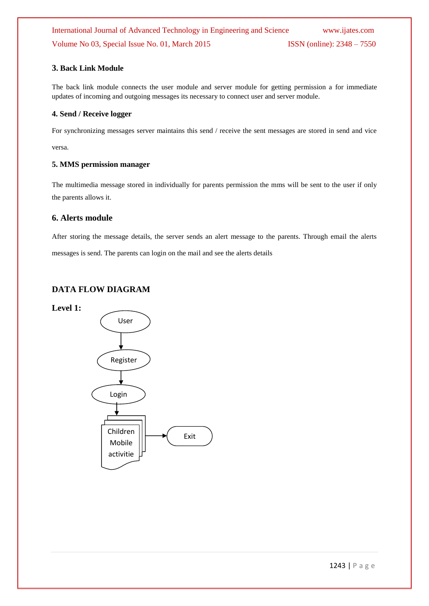## **3. Back Link Module**

The back link module connects the user module and server module for getting permission a for immediate updates of incoming and outgoing messages its necessary to connect user and server module.

## **4. Send / Receive logger**

For synchronizing messages server maintains this send / receive the sent messages are stored in send and vice versa.

## **5. MMS permission manager**

The multimedia message stored in individually for parents permission the mms will be sent to the user if only the parents allows it.

## **6. Alerts module**

After storing the message details, the server sends an alert message to the parents. Through email the alerts messages is send. The parents can login on the mail and see the alerts details

## **DATA FLOW DIAGRAM**

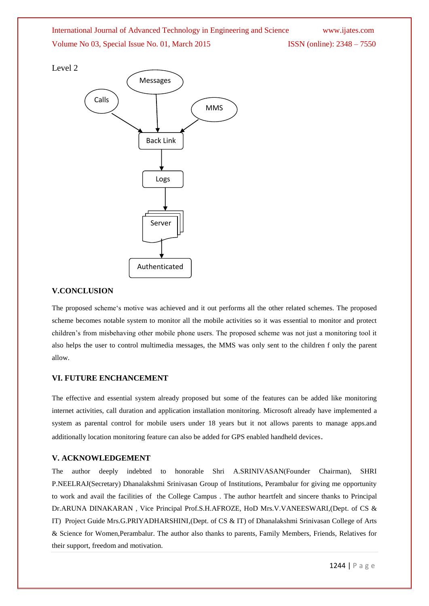

User

## **V.CONCLUSION**

The proposed scheme"s motive was achieved and it out performs all the other related schemes. The proposed scheme becomes notable system to monitor all the mobile activities so it was essential to monitor and protect children"s from misbehaving other mobile phone users. The proposed scheme was not just a monitoring tool it also helps the user to control multimedia messages, the MMS was only sent to the children f only the parent allow.

## **VI. FUTURE ENCHANCEMENT**

The effective and essential system already proposed but some of the features can be added like monitoring internet activities, call duration and application installation monitoring. Microsoft already have implemented a system as parental control for mobile users under 18 years but it not allows parents to manage apps.and additionally location monitoring feature can also be added for GPS enabled handheld devices.

## **V. ACKNOWLEDGEMENT**

The author deeply indebted to honorable Shri A.SRINIVASAN(Founder Chairman), SHRI P.NEELRAJ(Secretary) Dhanalakshmi Srinivasan Group of Institutions, Perambalur for giving me opportunity to work and avail the facilities of the College Campus . The author heartfelt and sincere thanks to Principal Dr.ARUNA DINAKARAN , Vice Principal Prof.S.H.AFROZE, HoD Mrs.V.VANEESWARI,(Dept. of CS & IT) Project Guide Mrs.G.PRIYADHARSHINI,(Dept. of CS & IT) of Dhanalakshmi Srinivasan College of Arts & Science for Women,Perambalur. The author also thanks to parents, Family Members, Friends, Relatives for their support, freedom and motivation.